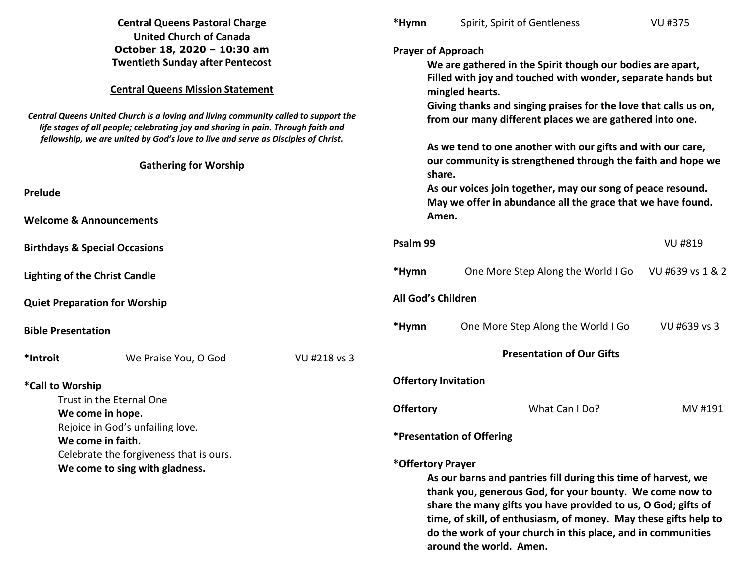| <b>Central Queens Pastoral Charge</b>                                                                                                                                                                                                                                                                                                                                                                                                                           |                      | *Hymn                                                                                                                                                                                                                                                                                                                                                                           | Spirit, Spirit of Gentleness                                                                                                                                                                                                                                                                                                                                                                                                                                                                                                                                                    | <b>VU #375</b>                     |              |                                          |  |  |                    |                                    |                  |
|-----------------------------------------------------------------------------------------------------------------------------------------------------------------------------------------------------------------------------------------------------------------------------------------------------------------------------------------------------------------------------------------------------------------------------------------------------------------|----------------------|---------------------------------------------------------------------------------------------------------------------------------------------------------------------------------------------------------------------------------------------------------------------------------------------------------------------------------------------------------------------------------|---------------------------------------------------------------------------------------------------------------------------------------------------------------------------------------------------------------------------------------------------------------------------------------------------------------------------------------------------------------------------------------------------------------------------------------------------------------------------------------------------------------------------------------------------------------------------------|------------------------------------|--------------|------------------------------------------|--|--|--------------------|------------------------------------|------------------|
| <b>United Church of Canada</b><br>October 18, 2020 - 10:30 am<br><b>Twentieth Sunday after Pentecost</b><br><b>Central Queens Mission Statement</b><br>Central Queens United Church is a loving and living community called to support the<br>life stages of all people; celebrating joy and sharing in pain. Through faith and<br>fellowship, we are united by God's love to live and serve as Disciples of Christ.<br><b>Gathering for Worship</b><br>Prelude |                      |                                                                                                                                                                                                                                                                                                                                                                                 | <b>Prayer of Approach</b><br>We are gathered in the Spirit though our bodies are apart,<br>Filled with joy and touched with wonder, separate hands but<br>mingled hearts.<br>Giving thanks and singing praises for the love that calls us on,<br>from our many different places we are gathered into one.<br>As we tend to one another with our gifts and with our care,<br>our community is strengthened through the faith and hope we<br>share.<br>As our voices join together, may our song of peace resound.<br>May we offer in abundance all the grace that we have found. |                                    |              |                                          |  |  |                    |                                    |                  |
|                                                                                                                                                                                                                                                                                                                                                                                                                                                                 |                      |                                                                                                                                                                                                                                                                                                                                                                                 |                                                                                                                                                                                                                                                                                                                                                                                                                                                                                                                                                                                 |                                    |              | <b>Welcome &amp; Announcements</b>       |  |  | Amen.              |                                    |                  |
|                                                                                                                                                                                                                                                                                                                                                                                                                                                                 |                      |                                                                                                                                                                                                                                                                                                                                                                                 |                                                                                                                                                                                                                                                                                                                                                                                                                                                                                                                                                                                 |                                    |              | <b>Birthdays &amp; Special Occasions</b> |  |  | Psalm 99           |                                    | <b>VU #819</b>   |
|                                                                                                                                                                                                                                                                                                                                                                                                                                                                 |                      |                                                                                                                                                                                                                                                                                                                                                                                 |                                                                                                                                                                                                                                                                                                                                                                                                                                                                                                                                                                                 |                                    |              | <b>Lighting of the Christ Candle</b>     |  |  | *Hymn              | One More Step Along the World I Go | VU #639 vs 1 & 2 |
|                                                                                                                                                                                                                                                                                                                                                                                                                                                                 |                      |                                                                                                                                                                                                                                                                                                                                                                                 |                                                                                                                                                                                                                                                                                                                                                                                                                                                                                                                                                                                 |                                    |              | <b>Quiet Preparation for Worship</b>     |  |  | All God's Children |                                    |                  |
| <b>Bible Presentation</b>                                                                                                                                                                                                                                                                                                                                                                                                                                       |                      |                                                                                                                                                                                                                                                                                                                                                                                 | *Hymn                                                                                                                                                                                                                                                                                                                                                                                                                                                                                                                                                                           | One More Step Along the World I Go | VU #639 vs 3 |                                          |  |  |                    |                                    |                  |
| *Introit                                                                                                                                                                                                                                                                                                                                                                                                                                                        | We Praise You, O God | VU #218 vs 3                                                                                                                                                                                                                                                                                                                                                                    |                                                                                                                                                                                                                                                                                                                                                                                                                                                                                                                                                                                 | <b>Presentation of Our Gifts</b>   |              |                                          |  |  |                    |                                    |                  |
| *Call to Worship                                                                                                                                                                                                                                                                                                                                                                                                                                                |                      |                                                                                                                                                                                                                                                                                                                                                                                 | <b>Offertory Invitation</b>                                                                                                                                                                                                                                                                                                                                                                                                                                                                                                                                                     |                                    |              |                                          |  |  |                    |                                    |                  |
| Trust in the Eternal One<br>We come in hope.                                                                                                                                                                                                                                                                                                                                                                                                                    |                      | <b>Offertory</b>                                                                                                                                                                                                                                                                                                                                                                | What Can I Do?                                                                                                                                                                                                                                                                                                                                                                                                                                                                                                                                                                  | MV #191                            |              |                                          |  |  |                    |                                    |                  |
| Rejoice in God's unfailing love.<br>We come in faith.                                                                                                                                                                                                                                                                                                                                                                                                           |                      |                                                                                                                                                                                                                                                                                                                                                                                 | *Presentation of Offering                                                                                                                                                                                                                                                                                                                                                                                                                                                                                                                                                       |                                    |              |                                          |  |  |                    |                                    |                  |
| Celebrate the forgiveness that is ours.<br>We come to sing with gladness.                                                                                                                                                                                                                                                                                                                                                                                       |                      | *Offertory Prayer<br>As our barns and pantries fill during this time of harvest, we<br>thank you, generous God, for your bounty. We come now to<br>share the many gifts you have provided to us, O God; gifts of<br>time, of skill, of enthusiasm, of money. May these gifts help to<br>do the work of your church in this place, and in communities<br>around the world. Amen. |                                                                                                                                                                                                                                                                                                                                                                                                                                                                                                                                                                                 |                                    |              |                                          |  |  |                    |                                    |                  |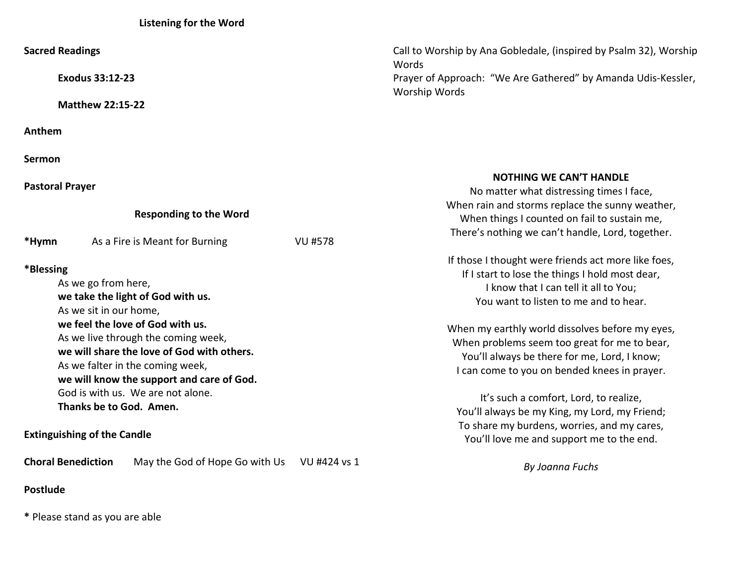## **Listening for the Word**

| <b>Sacred Readings</b>                                                                                                                                                                                                                                                                                                                                                                                          |                | Call to Worship by Ana Gobledale, (inspired by Psalm 32), Worship<br>Words<br>Prayer of Approach: "We Are Gathered" by Amanda Udis-Kessler,<br>Worship Words                                                                                                                                                                                                                                                                                                                                                                                                                       |  |
|-----------------------------------------------------------------------------------------------------------------------------------------------------------------------------------------------------------------------------------------------------------------------------------------------------------------------------------------------------------------------------------------------------------------|----------------|------------------------------------------------------------------------------------------------------------------------------------------------------------------------------------------------------------------------------------------------------------------------------------------------------------------------------------------------------------------------------------------------------------------------------------------------------------------------------------------------------------------------------------------------------------------------------------|--|
| <b>Exodus 33:12-23</b>                                                                                                                                                                                                                                                                                                                                                                                          |                |                                                                                                                                                                                                                                                                                                                                                                                                                                                                                                                                                                                    |  |
| <b>Matthew 22:15-22</b>                                                                                                                                                                                                                                                                                                                                                                                         |                |                                                                                                                                                                                                                                                                                                                                                                                                                                                                                                                                                                                    |  |
| Anthem                                                                                                                                                                                                                                                                                                                                                                                                          |                |                                                                                                                                                                                                                                                                                                                                                                                                                                                                                                                                                                                    |  |
| <b>Sermon</b>                                                                                                                                                                                                                                                                                                                                                                                                   |                |                                                                                                                                                                                                                                                                                                                                                                                                                                                                                                                                                                                    |  |
| <b>Pastoral Prayer</b>                                                                                                                                                                                                                                                                                                                                                                                          |                | <b>NOTHING WE CAN'T HANDLE</b><br>No matter what distressing times I face,                                                                                                                                                                                                                                                                                                                                                                                                                                                                                                         |  |
| <b>Responding to the Word</b>                                                                                                                                                                                                                                                                                                                                                                                   |                | When rain and storms replace the sunny weather,<br>When things I counted on fail to sustain me,                                                                                                                                                                                                                                                                                                                                                                                                                                                                                    |  |
| *Hymn<br>As a Fire is Meant for Burning                                                                                                                                                                                                                                                                                                                                                                         | <b>VU #578</b> | There's nothing we can't handle, Lord, together.                                                                                                                                                                                                                                                                                                                                                                                                                                                                                                                                   |  |
| *Blessing<br>As we go from here,<br>we take the light of God with us.<br>As we sit in our home,<br>we feel the love of God with us.<br>As we live through the coming week,<br>we will share the love of God with others.<br>As we falter in the coming week,<br>we will know the support and care of God.<br>God is with us. We are not alone.<br>Thanks be to God. Amen.<br><b>Extinguishing of the Candle</b> |                | If those I thought were friends act more like foes,<br>If I start to lose the things I hold most dear,<br>I know that I can tell it all to You;<br>You want to listen to me and to hear.<br>When my earthly world dissolves before my eyes,<br>When problems seem too great for me to bear,<br>You'll always be there for me, Lord, I know;<br>I can come to you on bended knees in prayer.<br>It's such a comfort, Lord, to realize,<br>You'll always be my King, my Lord, my Friend;<br>To share my burdens, worries, and my cares,<br>You'll love me and support me to the end. |  |
| <b>Choral Benediction</b><br>May the God of Hope Go with Us                                                                                                                                                                                                                                                                                                                                                     | VU #424 vs 1   | By Joanna Fuchs                                                                                                                                                                                                                                                                                                                                                                                                                                                                                                                                                                    |  |
| <b>Postlude</b>                                                                                                                                                                                                                                                                                                                                                                                                 |                |                                                                                                                                                                                                                                                                                                                                                                                                                                                                                                                                                                                    |  |

**\*** Please stand as you are able